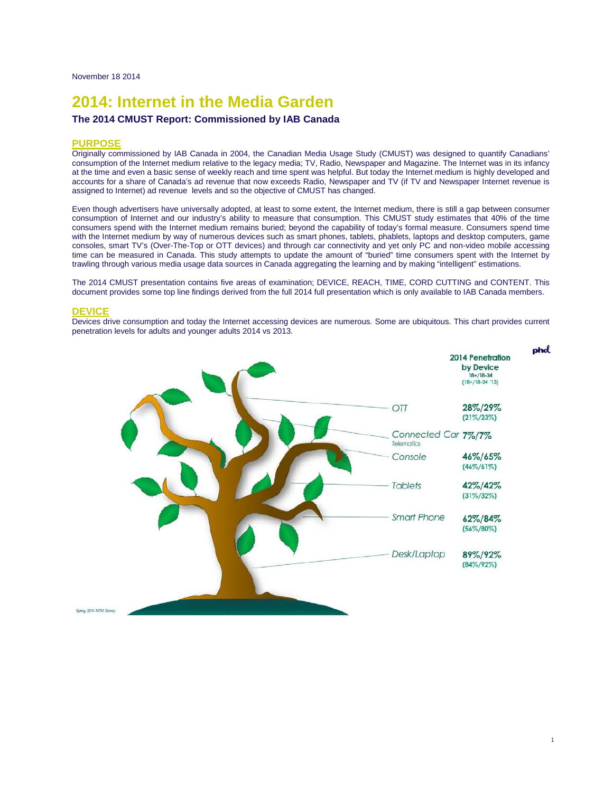# **2014: Internet in the Media Garden**

## **The 2014 CMUST Report: Commissioned by IAB Canada**

#### **PURPOSE**

Originally commissioned by IAB Canada in 2004, the Canadian Media Usage Study (CMUST) was designed to quantify Canadians' consumption of the Internet medium relative to the legacy media; TV, Radio, Newspaper and Magazine. The Internet was in its infancy at the time and even a basic sense of weekly reach and time spent was helpful. But today the Internet medium is highly developed and accounts for a share of Canada's ad revenue that now exceeds Radio, Newspaper and TV (if TV and Newspaper Internet revenue is assigned to Internet) ad revenue levels and so the objective of CMUST has changed.

Even though advertisers have universally adopted, at least to some extent, the Internet medium, there is still a gap between consumer consumption of Internet and our industry's ability to measure that consumption. This CMUST study estimates that 40% of the time consumers spend with the Internet medium remains buried; beyond the capability of today's formal measure. Consumers spend time with the Internet medium by way of numerous devices such as smart phones, tablets, phablets, laptops and desktop computers, game consoles, smart TV's (Over-The-Top or OTT devices) and through car connectivity and yet only PC and non-video mobile accessing time can be measured in Canada. This study attempts to update the amount of "buried" time consumers spent with the Internet by trawling through various media usage data sources in Canada aggregating the learning and by making "intelligent" estimations.

The 2014 CMUST presentation contains five areas of examination; DEVICE, REACH, TIME, CORD CUTTING and CONTENT. This document provides some top line findings derived from the full 2014 full presentation which is only available to IAB Canada members.

## **DEVICE**

Devices drive consumption and today the Internet accessing devices are numerous. Some are ubiquitous. This chart provides current penetration levels for adults and younger adults 2014 vs 2013.

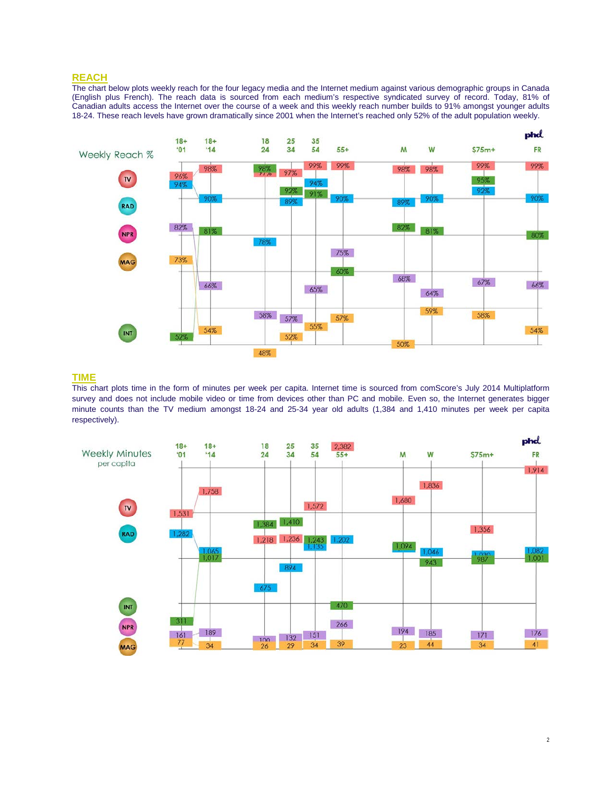# **REACH**

The chart below plots weekly reach for the four legacy media and the Internet medium against various demographic groups in Canada (English plus French). The reach data is sourced from each medium's respective syndicated survey of record. Today, 81% of Canadian adults access the Internet over the course of a week and this weekly reach number builds to 91% amongst younger adults 18-24. These reach levels have grown dramatically since 2001 when the Internet's reached only 52% of the adult population weekly.



## **TIME**

This chart plots time in the form of minutes per week per capita. Internet time is sourced from comScore's July 2014 Multiplatform survey and does not include mobile video or time from devices other than PC and mobile. Even so, the Internet generates bigger minute counts than the TV medium amongst 18-24 and 25-34 year old adults (1,384 and 1,410 minutes per week per capita respectively).

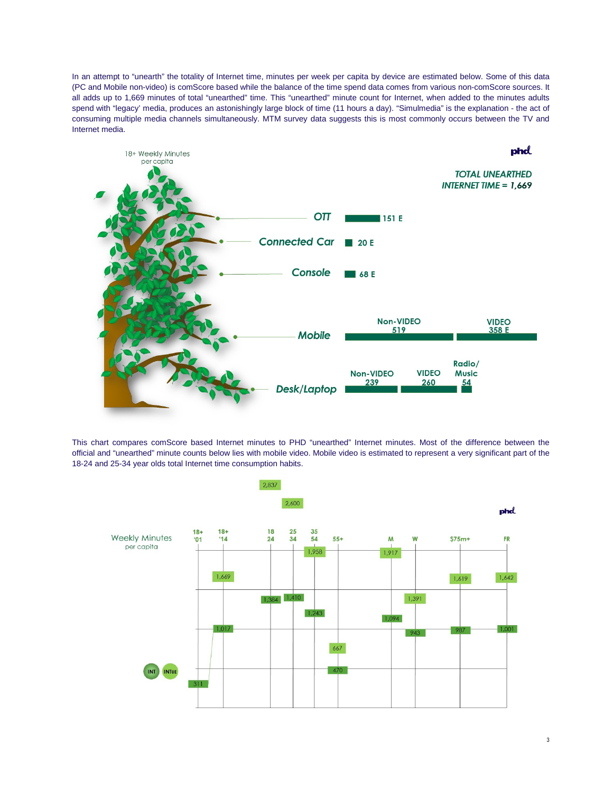In an attempt to "unearth" the totality of Internet time, minutes per week per capita by device are estimated below. Some of this data (PC and Mobile non-video) is comScore based while the balance of the time spend data comes from various non-comScore sources. It all adds up to 1,669 minutes of total "unearthed" time. This "unearthed" minute count for Internet, when added to the minutes adults spend with "legacy' media, produces an astonishingly large block of time (11 hours a day). "Simulmedia" is the explanation - the act of consuming multiple media channels simultaneously. MTM survey data suggests this is most commonly occurs between the TV and Internet media.



This chart compares comScore based Internet minutes to PHD "unearthed" Internet minutes. Most of the difference between the official and "unearthed" minute counts below lies with mobile video. Mobile video is estimated to represent a very significant part of the 18-24 and 25-34 year olds total Internet time consumption habits.

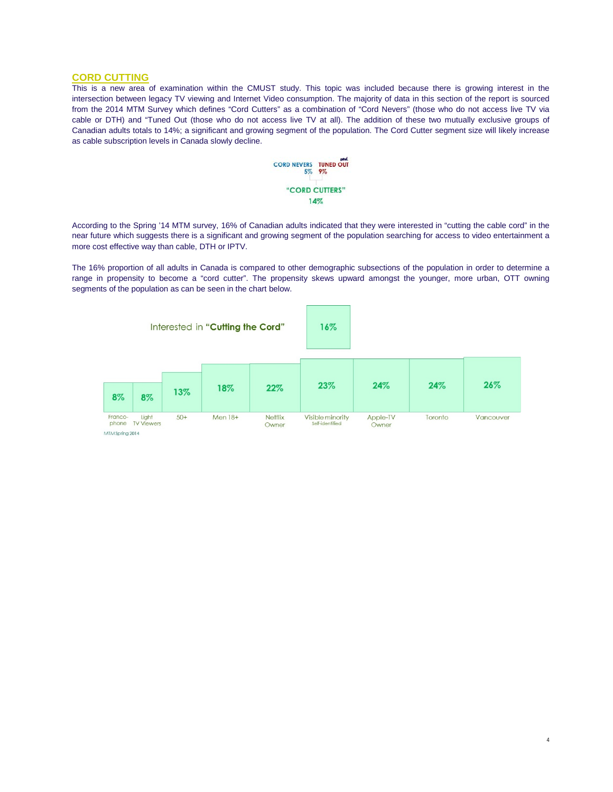## **CORD CUTTING**

This is a new area of examination within the CMUST study. This topic was included because there is growing interest in the intersection between legacy TV viewing and Internet Video consumption. The majority of data in this section of the report is sourced from the 2014 MTM Survey which defines "Cord Cutters" as a combination of "Cord Nevers" (those who do not access live TV via cable or DTH) and "Tuned Out (those who do not access live TV at all). The addition of these two mutually exclusive groups of Canadian adults totals to 14%; a significant and growing segment of the population. The Cord Cutter segment size will likely increase as cable subscription levels in Canada slowly decline.



According to the Spring '14 MTM survey, 16% of Canadian adults indicated that they were interested in "cutting the cable cord" in the near future which suggests there is a significant and growing segment of the population searching for access to video entertainment a more cost effective way than cable, DTH or IPTV.

The 16% proportion of all adults in Canada is compared to other demographic subsections of the population in order to determine a range in propensity to become a "cord cutter". The propensity skews upward amongst the younger, more urban, OTT owning segments of the population as can be seen in the chart below.



4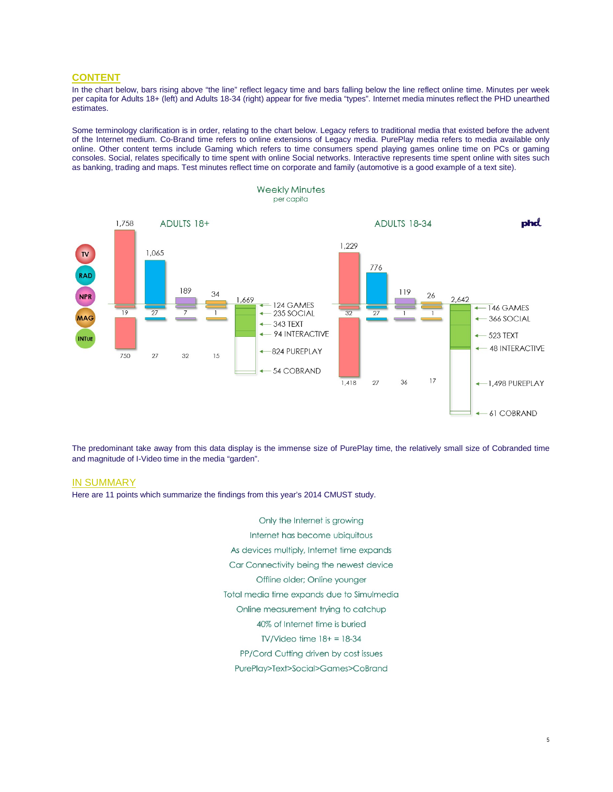# **CONTENT**

In the chart below, bars rising above "the line" reflect legacy time and bars falling below the line reflect online time. Minutes per week per capita for Adults 18+ (left) and Adults 18-34 (right) appear for five media "types". Internet media minutes reflect the PHD unearthed estimates.

Some terminology clarification is in order, relating to the chart below. Legacy refers to traditional media that existed before the advent of the Internet medium. Co-Brand time refers to online extensions of Legacy media. PurePlay media refers to media available only online. Other content terms include Gaming which refers to time consumers spend playing games online time on PCs or gaming consoles. Social, relates specifically to time spent with online Social networks. Interactive represents time spent online with sites such as banking, trading and maps. Test minutes reflect time on corporate and family (automotive is a good example of a text site).



The predominant take away from this data display is the immense size of PurePlay time, the relatively small size of Cobranded time and magnitude of I-Video time in the media "garden".

#### IN SUMMARY

Here are 11 points which summarize the findings from this year's 2014 CMUST study.

Only the Internet is growing Internet has become ubiquitous As devices multiply, Internet time expands Car Connectivity being the newest device Offline older; Online younger Total media time expands due to Simulmedia Online measurement trying to catchup 40% of Internet time is buried TV/Video time  $18+ = 18-34$ PP/Cord Cutting driven by cost issues PurePlay>Text>Social>Games>CoBrand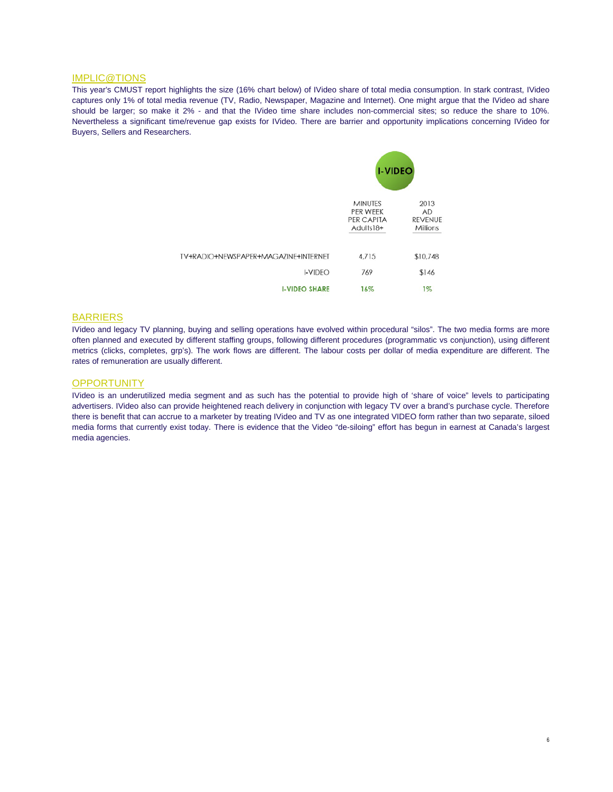# IMPLIC@TIONS

This year's CMUST report highlights the size (16% chart below) of IVideo share of total media consumption. In stark contrast, IVideo captures only 1% of total media revenue (TV, Radio, Newspaper, Magazine and Internet). One might argue that the IVideo ad share should be larger; so make it 2% - and that the IVideo time share includes non-commercial sites; so reduce the share to 10%. Nevertheless a significant time/revenue gap exists for IVideo. There are barrier and opportunity implications concerning IVideo for Buyers, Sellers and Researchers.

|                                      | <b>I-VIDEO</b>                                        |                                                 |
|--------------------------------------|-------------------------------------------------------|-------------------------------------------------|
|                                      | <b>MINUTES</b><br>PER WEEK<br>PER CAPITA<br>Adults18+ | 2013<br><b>AD</b><br><b>REVENUE</b><br>Millions |
| TV+RADIO+NEWSPAPER+MAGAZINE+INTERNET | 4,715                                                 | \$10,748                                        |
| <b>I-VIDEO</b>                       | 769                                                   | \$146                                           |
| <b>I-VIDEO SHARE</b>                 | 16%                                                   | $1\%$                                           |

#### BARRIERS

IVideo and legacy TV planning, buying and selling operations have evolved within procedural "silos". The two media forms are more often planned and executed by different staffing groups, following different procedures (programmatic vs conjunction), using different metrics (clicks, completes, grp's). The work flows are different. The labour costs per dollar of media expenditure are different. The rates of remuneration are usually different.

## **OPPORTUNITY**

IVideo is an underutilized media segment and as such has the potential to provide high of 'share of voice" levels to participating advertisers. IVideo also can provide heightened reach delivery in conjunction with legacy TV over a brand's purchase cycle. Therefore there is benefit that can accrue to a marketer by treating IVideo and TV as one integrated VIDEO form rather than two separate, siloed media forms that currently exist today. There is evidence that the Video "de-siloing" effort has begun in earnest at Canada's largest media agencies.

6